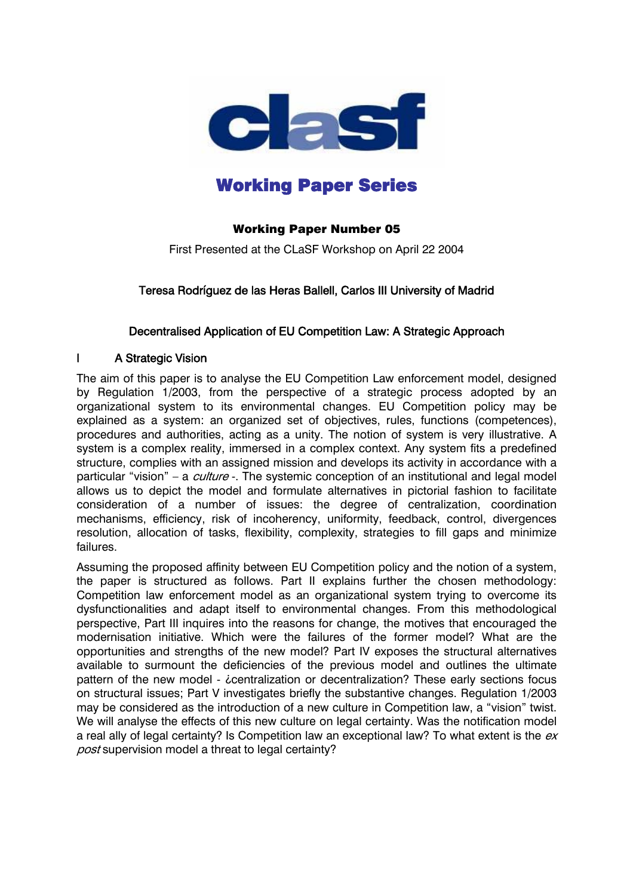

# Working Paper Series

## Working Paper Number 05

First Presented at the CLaSF Workshop on April 22 2004

## Teresa Rodríguez de las Heras Ballell, Carlos III University of Madrid

#### Decentralised Application of EU Competition Law: A Strategic Approach

#### I A Strategic Vision

The aim of this paper is to analyse the EU Competition Law enforcement model, designed by Regulation 1/2003, from the perspective of a strategic process adopted by an organizational system to its environmental changes. EU Competition policy may be explained as a system: an organized set of objectives, rules, functions (competences), procedures and authorities, acting as a unity. The notion of system is very illustrative. A system is a complex reality, immersed in a complex context. Any system fits a predefined structure, complies with an assigned mission and develops its activity in accordance with a particular "vision" – a *culture* -. The systemic conception of an institutional and legal model allows us to depict the model and formulate alternatives in pictorial fashion to facilitate consideration of a number of issues: the degree of centralization, coordination mechanisms, efficiency, risk of incoherency, uniformity, feedback, control, divergences resolution, allocation of tasks, flexibility, complexity, strategies to fill gaps and minimize failures.

Assuming the proposed affinity between EU Competition policy and the notion of a system, the paper is structured as follows. Part II explains further the chosen methodology: Competition law enforcement model as an organizational system trying to overcome its dysfunctionalities and adapt itself to environmental changes. From this methodological perspective, Part III inquires into the reasons for change, the motives that encouraged the modernisation initiative. Which were the failures of the former model? What are the opportunities and strengths of the new model? Part IV exposes the structural alternatives available to surmount the deficiencies of the previous model and outlines the ultimate pattern of the new model - *i*centralization or decentralization? These early sections focus on structural issues; Part V investigates briefly the substantive changes. Regulation 1/2003 may be considered as the introduction of a new culture in Competition law, a "vision" twist. We will analyse the effects of this new culture on legal certainty. Was the notification model a real ally of legal certainty? Is Competition law an exceptional law? To what extent is the  $ex$ post supervision model a threat to legal certainty?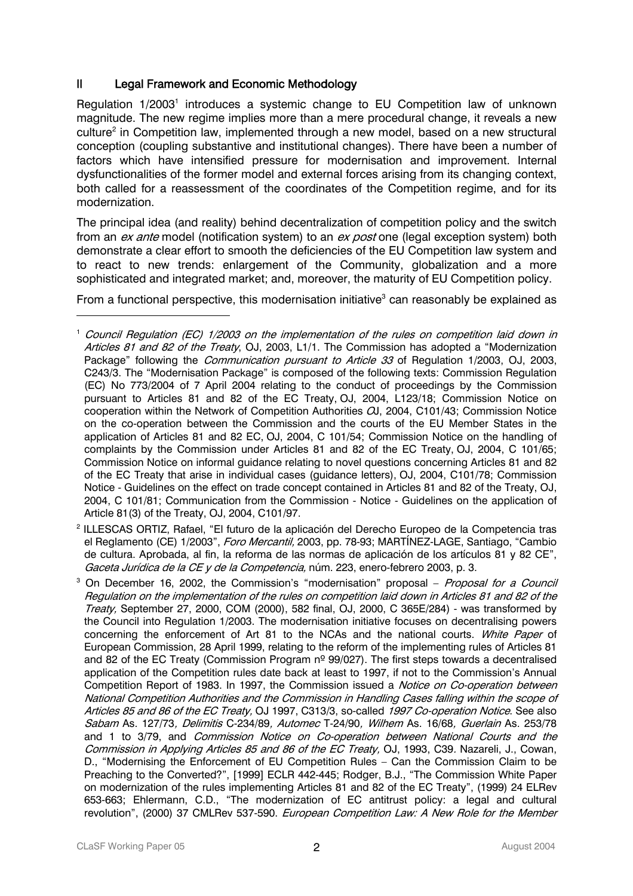## II Legal Framework and Economic Methodology

Regulation [1](#page-1-0)/2003<sup>1</sup> introduces a systemic change to EU Competition law of unknown magnitude. The new regime implies more than a mere procedural change, it reveals a new culture<sup>2</sup> in Competition law, implemented through a new model, based on a new structural conception (coupling substantive and institutional changes). There have been a number of factors which have intensified pressure for modernisation and improvement. Internal dysfunctionalities of the former model and external forces arising from its changing context, both called for a reassessment of the coordinates of the Competition regime, and for its modernization.

The principal idea (and reality) behind decentralization of competition policy and the switch from an ex ante model (notification system) to an ex post one (legal exception system) both demonstrate a clear effort to smooth the deficiencies of the EU Competition law system and to react to new trends: enlargement of the Community, globalization and a more sophisticated and integrated market; and, moreover, the maturity of EU Competition policy.

From a functional perspective, this modernisation initiative<sup>[3](#page-1-2)</sup> can reasonably be explained as

<span id="page-1-1"></span>Gaceta Jurídica de la CE y de la Competencia, núm. 223, enero-febrero 2003, p. 3. 2 ILLESCAS ORTIZ, Rafael, "El futuro de la aplicación del Derecho Europeo de la Competencia tras el Reglamento (CE) 1/2003", *Foro Mercantil*, 2003, pp. 78-93; MARTÍNEZ-LAGE, Santiago, "Cambio de cultura. Aprobada, al fin, la reforma de las normas de aplicación de los artículos 81 y 82 CE",

<span id="page-1-2"></span><sup>3</sup> On December 16, 2002, the Commission's "modernisation" proposal – Proposal for a Council Regulation on the implementation of the rules on competition laid down in Articles 81 and 82 of the Treaty, September 27, 2000, COM (2000), 582 final, OJ, 2000, C 365E/284) - was transformed by the Council into Regulation 1/2003. The modernisation initiative focuses on decentralising powers concerning the enforcement of Art 81 to the NCAs and the national courts. White Paper of European Commission, 28 April 1999, relating to the reform of the implementing rules of Articles 81 and 82 of the EC Treaty (Commission Program  $n^{\circ}$  99/027). The first steps towards a decentralised application of the Competition rules date back at least to 1997, if not to the Commission's Annual Competition Report of 1983. In 1997, the Commission issued a *Notice on Co-operation between* National Competition Authorities and the Commission in Handling Cases falling within the scope of Articles 85 and 86 of the EC Treaty, OJ 1997, C313/3, so-called 1997 Co-operation Notice. See also Sabam As. 127/73, Delimitis C-234/89, Automec T-24/90, Wilhem As. 16/68, Guerlain As. 253/78 and 1 to 3/79, and Commission Notice on Co-operation between National Courts and the Commission in Applying Articles 85 and 86 of the EC Treaty, OJ, 1993, C39. Nazareli, J., Cowan, D., "Modernising the Enforcement of EU Competition Rules – Can the Commission Claim to be Preaching to the Converted?", [1999] ECLR 442-445; Rodger, B.J., "The Commission White Paper on modernization of the rules implementing Articles 81 and 82 of the EC Treaty", (1999) 24 ELRev 653-663; Ehlermann, C.D., "The modernization of EC antitrust policy: a legal and cultural revolution", (2000) 37 CMLRev 537-590. European Competition Law: A New Role for the Member

<span id="page-1-0"></span><sup>1</sup> Council Regulation (EC) 1/2003 on the implementation of the rules on competition laid down in Articles 81 and 82 of the Treaty, OJ, 2003, L1/1. The Commission has adopted a "Modernization Package" following the *Communication pursuant to Article 33* of Regulation 1/2003, OJ, 2003, C243/3. The "Modernisation Package" is composed of the following texts: Commission Regulation (EC) No 773/2004 of 7 April 2004 relating to the conduct of proceedings by the Commission pursuant to Articles 81 and 82 of the EC Treaty, OJ, 2004, L123/18; Commission Notice on cooperation within the Network of Competition Authorities  $O, 2004, C101/43$ ; Commission Notice on the co-operation between the Commission and the courts of the EU Member States in the application of Articles 81 and 82 EC, OJ, 2004, C 101/54; Commission Notice on the handling of complaints by the Commission under Articles 81 and 82 of the EC Treaty, OJ, 2004, C 101/65; Commission Notice on informal guidance relating to novel questions concerning Articles 81 and 82 of the EC Treaty that arise in individual cases (guidance letters), OJ, 2004, C101/78; Commission Notice - Guidelines on the effect on trade concept contained in Articles 81 and 82 of the Treaty, OJ, 2004, C 101/81; Communication from the Commission - Notice - Guidelines on the application of Article 81(3) of the Treaty, OJ, 2004, C101/97.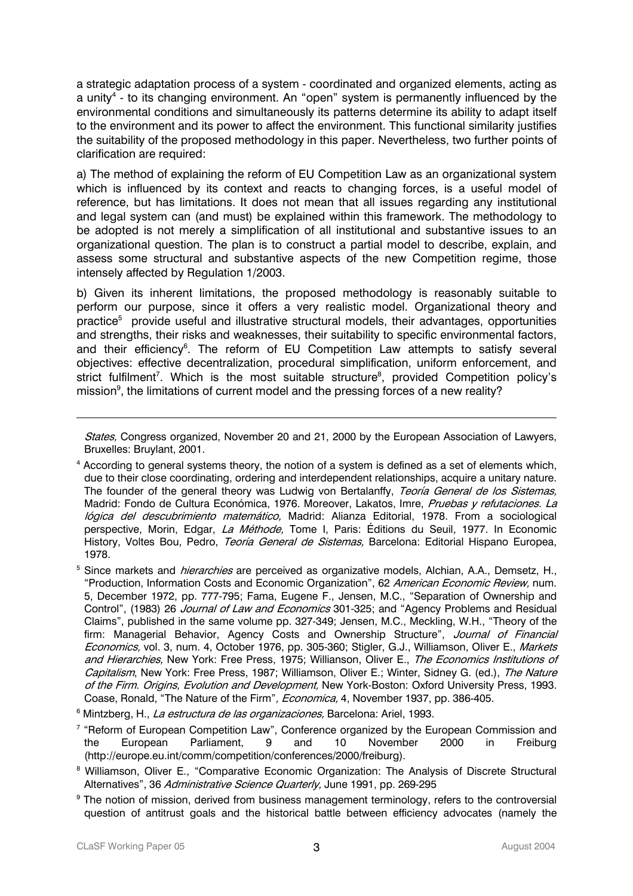a strategic adaptation process of a system - coordinated and organized elements, acting as a unity<sup>4</sup> - to its changing environment. An "open" system is permanently influenced by the environmental conditions and simultaneously its patterns determine its ability to adapt itself to the environment and its power to affect the environment. This functional similarity justifies the suitability of the proposed methodology in this paper. Nevertheless, two further points of clarification are required:

a) The method of explaining the reform of EU Competition Law as an organizational system which is influenced by its context and reacts to changing forces, is a useful model of reference, but has limitations. It does not mean that all issues regarding any institutional and legal system can (and must) be explained within this framework. The methodology to be adopted is not merely a simplification of all institutional and substantive issues to an organizational question. The plan is to construct a partial model to describe, explain, and assess some structural and substantive aspects of the new Competition regime, those intensely affected by Regulation 1/2003.

b) Given its inherent limitations, the proposed methodology is reasonably suitable to perform our purpose, since it offers a very realistic model. Organizational theory and practice<sup>5</sup> provide useful and illustrative structural models, their advantages, opportunities and strengths, their risks and weaknesses, their suitability to specific environmental factors, and their efficiency<sup>6</sup>. The reform of EU Competition Law attempts to satisfy several objectives: effective decentralization, procedural simplification, uniform enforcement, and strict fulfilment<sup>[7](#page-2-3)</sup>. Which is the most suitable structure<sup>8</sup>, provided Competition policy's mission<sup>[9](#page-2-5)</sup>, the limitations of current model and the pressing forces of a new reality?

States, Congress organized, November 20 and 21, 2000 by the European Association of Lawyers, Bruxelles: Bruylant, 2001.

- <span id="page-2-0"></span><sup>4</sup> According to general systems theory, the notion of a system is defined as a set of elements which, due to their close coordinating, ordering and interdependent relationships, acquire a unitary nature. The founder of the general theory was Ludwig von Bertalanffy, Teoría General de los Sistemas, Madrid: Fondo de Cultura Económica, 1976. Moreover, Lakatos, Imre, Pruebas y refutaciones. La lógica del descubrimiento matemático, Madrid: Alianza Editorial, 1978. From a sociological perspective, Morin, Edgar, La Méthode, Tome I, Paris: Éditions du Seuil, 1977. In Economic History, Voltes Bou, Pedro, *Teoría General de Sistemas*, Barcelona: Editorial Hispano Europea, 1978.
- <span id="page-2-1"></span><sup>5</sup> Since markets and *hierarchies* are perceived as organizative models, Alchian, A.A., Demsetz, H., "Production, Information Costs and Economic Organization", 62 American Economic Review, num. 5, December 1972, pp. 777-795; Fama, Eugene F., Jensen, M.C., "Separation of Ownership and Control", (1983) 26 Journal of Law and Economics 301-325; and "Agency Problems and Residual Claims", published in the same volume pp. 327-349; Jensen, M.C., Meckling, W.H., "Theory of the firm: Managerial Behavior, Agency Costs and Ownership Structure", Journal of Financial Economics, vol. 3, num. 4, October 1976, pp. 305-360; Stigler, G.J., Williamson, Oliver E., Markets and Hierarchies, New York: Free Press, 1975; Willianson, Oliver E., The Economics Institutions of Capitalism, New York: Free Press, 1987; Williamson, Oliver E.; Winter, Sidney G. (ed.), The Nature of the Firm. Origins, Evolution and Development, New York-Boston: Oxford University Press, 1993. Coase, Ronald, "The Nature of the Firm", *Economica*, 4, November 1937, pp. 386-405.
- <span id="page-2-2"></span><sup>6</sup> Mintzberg, H., *La estructura de las organizaciones,* Barcelona: Ariel, 1993.
- <span id="page-2-3"></span><sup>7</sup> "Reform of European Competition Law", Conference organized by the European Commission and the European Parliament, 9 and 10 November 2000 in Freiburg (http://europe.eu.int/comm/competition/conferences/2000/freiburg).
- <span id="page-2-4"></span><sup>8</sup> Williamson, Oliver E., "Comparative Economic Organization: The Analysis of Discrete Structural Alternatives", 36 Administrative Science Quarterly, June 1991, pp. 269-295
- <span id="page-2-5"></span><sup>9</sup> The notion of mission, derived from business management terminology, refers to the controversial question of antitrust goals and the historical battle between efficiency advocates (namely the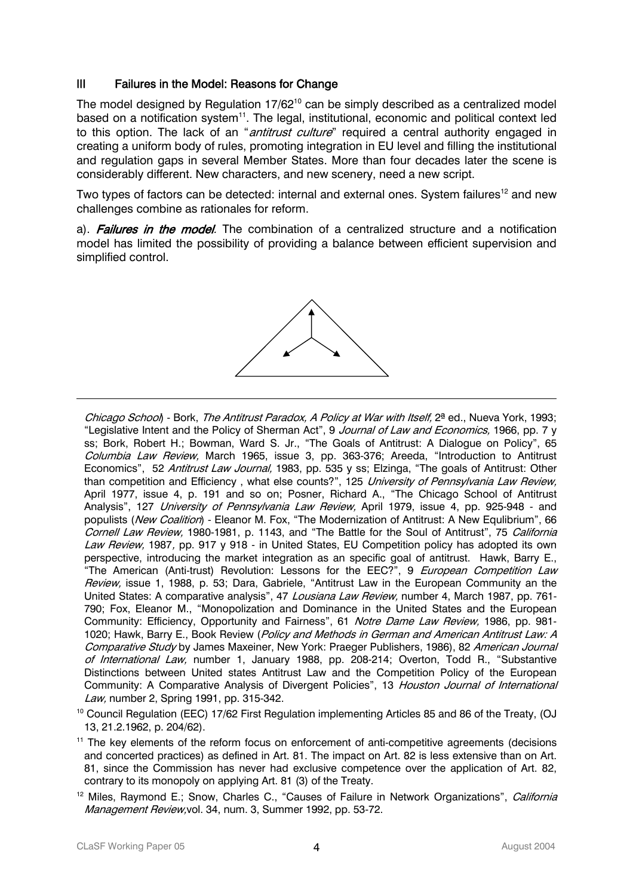#### III Failures in the Model: Reasons for Change

The model designed by Regulation 17/62<sup>10</sup> can be simply described as a centralized model based on a notification system<sup>11</sup>. The legal, institutional, economic and political context led to this option. The lack of an "*antitrust culture*" required a central authority engaged in creating a uniform body of rules, promoting integration in EU level and filling the institutional and regulation gaps in several Member States. More than four decades later the scene is considerably different. New characters, and new scenery, need a new script.

Two types of factors can be detected: internal and external ones. System failures<sup>12</sup> and new challenges combine as rationales for reform.

a). Failures in the model. The combination of a centralized structure and a notification model has limited the possibility of providing a balance between efficient supervision and simplified control.



Chicago School) - Bork, The Antitrust Paradox, A Policy at War with Itself, 2<sup>ª</sup> ed., Nueva York, 1993; "Legislative Intent and the Policy of Sherman Act", 9 Journal of Law and Economics, 1966, pp. 7 y ss; Bork, Robert H.; Bowman, Ward S. Jr., "The Goals of Antitrust: A Dialogue on Policy", 65 Columbia Law Review, March 1965, issue 3, pp. 363-376; Areeda, "Introduction to Antitrust Economics", 52 Antitrust Law Journal, 1983, pp. 535 y ss; Elzinga, "The goals of Antitrust: Other than competition and Efficiency, what else counts?", 125 University of Pennsylvania Law Review, April 1977, issue 4, p. 191 and so on; Posner, Richard A., "The Chicago School of Antitrust Analysis", 127 *University of Pennsylvania Law Review*, April 1979, issue 4, pp. 925-948 - and populists (New Coalition) - Eleanor M. Fox, "The Modernization of Antitrust: A New Equlibrium", 66 Cornell Law Review, 1980-1981, p. 1143, and "The Battle for the Soul of Antitrust", 75 California Law Review, 1987, pp. 917 y 918 - in United States, EU Competition policy has adopted its own perspective, introducing the market integration as an specific goal of antitrust. Hawk, Barry E., "The American (Anti-trust) Revolution: Lessons for the EEC?", 9 European Competition Law Review, issue 1, 1988, p. 53; Dara, Gabriele, "Antitrust Law in the European Community an the United States: A comparative analysis", 47 Lousiana Law Review, number 4, March 1987, pp. 761-790; Fox, Eleanor M., "Monopolization and Dominance in the United States and the European Community: Efficiency, Opportunity and Fairness", 61 Notre Dame Law Review, 1986, pp. 981-1020; Hawk, Barry E., Book Review (Policy and Methods in German and American Antitrust Law: A Comparative Study by James Maxeiner, New York: Praeger Publishers, 1986), 82 American Journal of International Law, number 1, January 1988, pp. 208-214; Overton, Todd R., "Substantive Distinctions between United states Antitrust Law and the Competition Policy of the European Community: A Comparative Analysis of Divergent Policies", 13 Houston Journal of International Law, number 2, Spring 1991, pp. 315-342.

<span id="page-3-0"></span><sup>10</sup> Council Regulation (EEC) 17/62 First Regulation implementing Articles 85 and 86 of the Treaty, (OJ 13, 21.2.1962, p. 204/62).

<span id="page-3-1"></span><sup>11</sup> The key elements of the reform focus on enforcement of anti-competitive agreements (decisions and concerted practices) as defined in Art. 81. The impact on Art. 82 is less extensive than on Art. 81, since the Commission has never had exclusive competence over the application of Art. 82, contrary to its monopoly on applying Art. 81 (3) of the Treaty.

<span id="page-3-2"></span><sup>12</sup> Miles, Raymond E.; Snow, Charles C., "Causes of Failure in Network Organizations", *California* Management Review, vol. 34, num. 3, Summer 1992, pp. 53-72.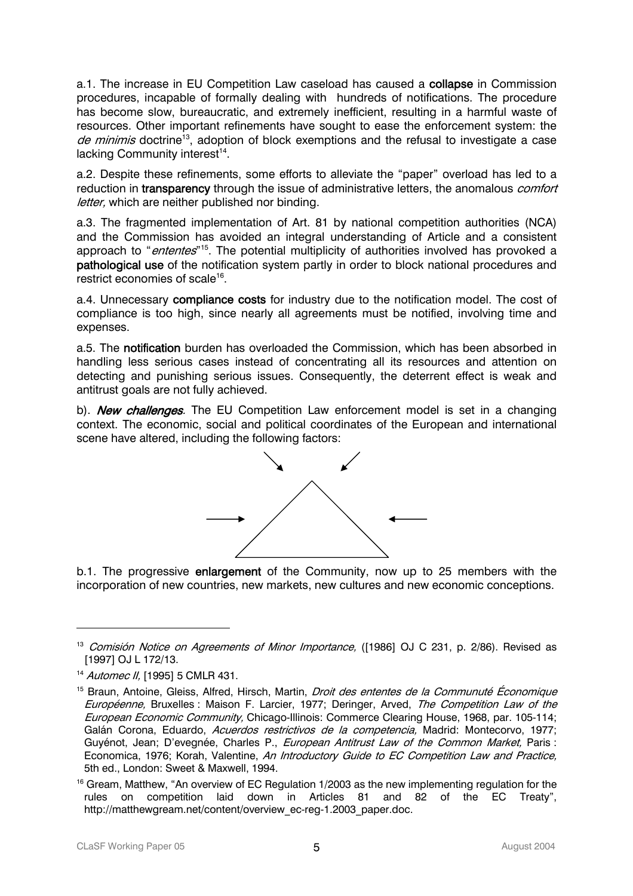a.1. The increase in EU Competition Law caseload has caused a collapse in Commission procedures, incapable of formally dealing with hundreds of notifications. The procedure has become slow, bureaucratic, and extremely inefficient, resulting in a harmful waste of resources. Other important refinements have sought to ease the enforcement system: the de minimis doctrine<sup>13</sup>, adoption of block exemptions and the refusal to investigate a case lacking Community interest<sup>14</sup>.

a.2. Despite these refinements, some efforts to alleviate the "paper" overload has led to a reduction in transparency through the issue of administrative letters, the anomalous *comfort* letter, which are neither published nor binding.

a.3. The fragmented implementation of Art. 81 by national competition authorities (NCA) and the Commission has avoided an integral understanding of Article and a consistent approach to "*ententes*"<sup>15</sup>. The potential multiplicity of authorities involved has provoked a pathological use of the notification system partly in order to block national procedures and restrict economies of scale<sup>16</sup>.

a.4. Unnecessary compliance costs for industry due to the notification model. The cost of compliance is too high, since nearly all agreements must be notified, involving time and expenses.

a.5. The notification burden has overloaded the Commission, which has been absorbed in handling less serious cases instead of concentrating all its resources and attention on detecting and punishing serious issues. Consequently, the deterrent effect is weak and antitrust goals are not fully achieved.

b). **New challenges**. The EU Competition Law enforcement model is set in a changing context. The economic, social and political coordinates of the European and international scene have altered, including the following factors:



b.1. The progressive enlargement of the Community, now up to 25 members with the incorporation of new countries, new markets, new cultures and new economic conceptions.

<span id="page-4-0"></span><sup>&</sup>lt;sup>13</sup> Comisión Notice on Agreements of Minor Importance, ([1986] OJ C 231, p. 2/86). Revised as [1997] OJ L 172/13.

<span id="page-4-1"></span><sup>&</sup>lt;sup>14</sup> Automec II, [1995] 5 CMLR 431.

<span id="page-4-2"></span>Economica, 1976; Korah, Valentine, *An Introductory Guide to EC Competition Law and Practice,* <sup>15</sup> Braun, Antoine, Gleiss, Alfred, Hirsch, Martin, *Droit des ententes de la Communuté Économique* Européenne, Bruxelles : Maison F. Larcier, 1977; Deringer, Arved, The Competition Law of the European Economic Community, Chicago-Illinois: Commerce Clearing House, 1968, par. 105-114; Galán Corona, Eduardo, Acuerdos restrictivos de la competencia, Madrid: Montecorvo, 1977; Guyénot, Jean; D'evegnée, Charles P., European Antitrust Law of the Common Market, Paris : 5th ed., London: Sweet & Maxwell, 1994.

<span id="page-4-3"></span><sup>&</sup>lt;sup>16</sup> Gream, Matthew, "An overview of EC Regulation 1/2003 as the new implementing regulation for the rules on competition laid down in Articles 81 and 82 of the EC Treaty", http://matthewgream.net/content/overview\_ec-reg-1.2003\_paper.doc.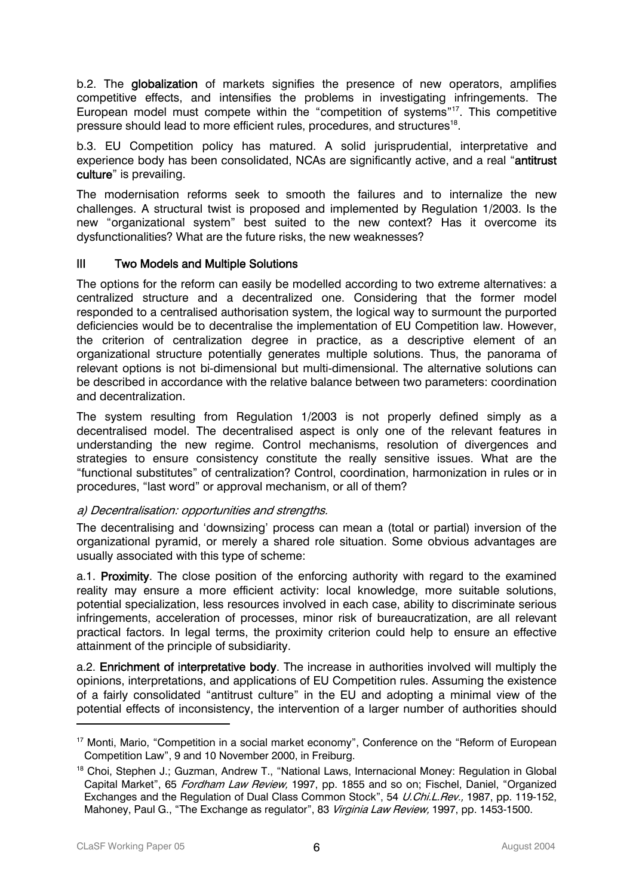b.2. The globalization of markets signifies the presence of new operators, amplifies competitive effects, and intensifies the problems in investigating infringements. The European model must compete within the "competition of systems["17.](#page-5-0) This competitive pressure should lead to more efficient rules, procedures, and structures[18.](#page-5-1)

b.3. EU Competition policy has matured. A solid jurisprudential, interpretative and experience body has been consolidated, NCAs are significantly active, and a real "antitrust culture" is prevailing.

The modernisation reforms seek to smooth the failures and to internalize the new challenges. A structural twist is proposed and implemented by Regulation 1/2003. Is the new "organizational system" best suited to the new context? Has it overcome its dysfunctionalities? What are the future risks, the new weaknesses?

#### III Two Models and Multiple Solutions

The options for the reform can easily be modelled according to two extreme alternatives: a centralized structure and a decentralized one. Considering that the former model responded to a centralised authorisation system, the logical way to surmount the purported deficiencies would be to decentralise the implementation of EU Competition law. However, the criterion of centralization degree in practice, as a descriptive element of an organizational structure potentially generates multiple solutions. Thus, the panorama of relevant options is not bi-dimensional but multi-dimensional. The alternative solutions can be described in accordance with the relative balance between two parameters: coordination and decentralization.

The system resulting from Regulation 1/2003 is not properly defined simply as a decentralised model. The decentralised aspect is only one of the relevant features in understanding the new regime. Control mechanisms, resolution of divergences and strategies to ensure consistency constitute the really sensitive issues. What are the "functional substitutes" of centralization? Control, coordination, harmonization in rules or in procedures, "last word" or approval mechanism, or all of them?

#### a) Decentralisation: opportunities and strengths.

The decentralising and 'downsizing' process can mean a (total or partial) inversion of the organizational pyramid, or merely a shared role situation. Some obvious advantages are usually associated with this type of scheme:

a.1. Proximity. The close position of the enforcing authority with regard to the examined reality may ensure a more efficient activity: local knowledge, more suitable solutions, potential specialization, less resources involved in each case, ability to discriminate serious infringements, acceleration of processes, minor risk of bureaucratization, are all relevant practical factors. In legal terms, the proximity criterion could help to ensure an effective attainment of the principle of subsidiarity.

a.2. Enrichment of interpretative body. The increase in authorities involved will multiply the opinions, interpretations, and applications of EU Competition rules. Assuming the existence of a fairly consolidated "antitrust culture" in the EU and adopting a minimal view of the potential effects of inconsistency, the intervention of a larger number of authorities should

<span id="page-5-0"></span><sup>&</sup>lt;sup>17</sup> Monti, Mario, "Competition in a social market economy", Conference on the "Reform of European Competition Law", 9 and 10 November 2000, in Freiburg.

<span id="page-5-1"></span><sup>&</sup>lt;sup>18</sup> Choi, Stephen J.; Guzman, Andrew T., "National Laws, Internacional Money: Regulation in Global Capital Market", 65 Fordham Law Review, 1997, pp. 1855 and so on; Fischel, Daniel, "Organized Exchanges and the Regulation of Dual Class Common Stock", 54 U.Chi.L.Rev., 1987, pp. 119-152, Mahoney, Paul G., "The Exchange as regulator", 83 Virginia Law Review, 1997, pp. 1453-1500.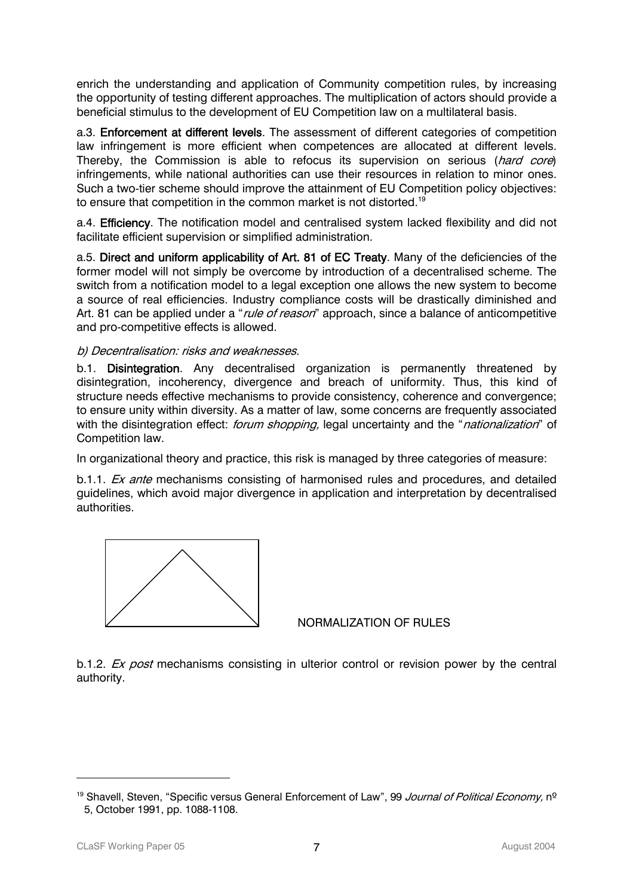enrich the understanding and application of Community competition rules, by increasing the opportunity of testing different approaches. The multiplication of actors should provide a beneficial stimulus to the development of EU Competition law on a multilateral basis.

a.3. Enforcement at different levels. The assessment of different categories of competition law infringement is more efficient when competences are allocated at different levels. Thereby, the Commission is able to refocus its supervision on serious (hard core) infringements, while national authorities can use their resources in relation to minor ones. Such a two-tier scheme should improve the attainment of EU Competition policy objectives: to ensure that competition in the common market is not distorted.<sup>19</sup>

a.4. Efficiency. The notification model and centralised system lacked flexibility and did not facilitate efficient supervision or simplified administration.

a.5. Direct and uniform applicability of Art. 81 of EC Treaty. Many of the deficiencies of the former model will not simply be overcome by introduction of a decentralised scheme. The switch from a notification model to a legal exception one allows the new system to become a source of real efficiencies. Industry compliance costs will be drastically diminished and Art. 81 can be applied under a "*rule of reason*" approach, since a balance of anticompetitive and pro-competitive effects is allowed.

#### b) Decentralisation: risks and weaknesses.

b.1. **Disintegration**. Any decentralised organization is permanently threatened by disintegration, incoherency, divergence and breach of uniformity. Thus, this kind of structure needs effective mechanisms to provide consistency, coherence and convergence; to ensure unity within diversity. As a matter of law, some concerns are frequently associated with the disintegration effect: forum shopping, legal uncertainty and the "nationalization" of Competition law.

In organizational theory and practice, this risk is managed by three categories of measure:

b.1.1. *Ex ante* mechanisms consisting of harmonised rules and procedures, and detailed guidelines, which avoid major divergence in application and interpretation by decentralised authorities.



NORMALIZATION OF RULES

b.1.2. *Ex post* mechanisms consisting in ulterior control or revision power by the central authority.

<span id="page-6-0"></span><sup>&</sup>lt;sup>19</sup> Shavell, Steven, "Specific versus General Enforcement of Law", 99 Journal of Political Economy, nº 5, October 1991, pp. 1088-1108.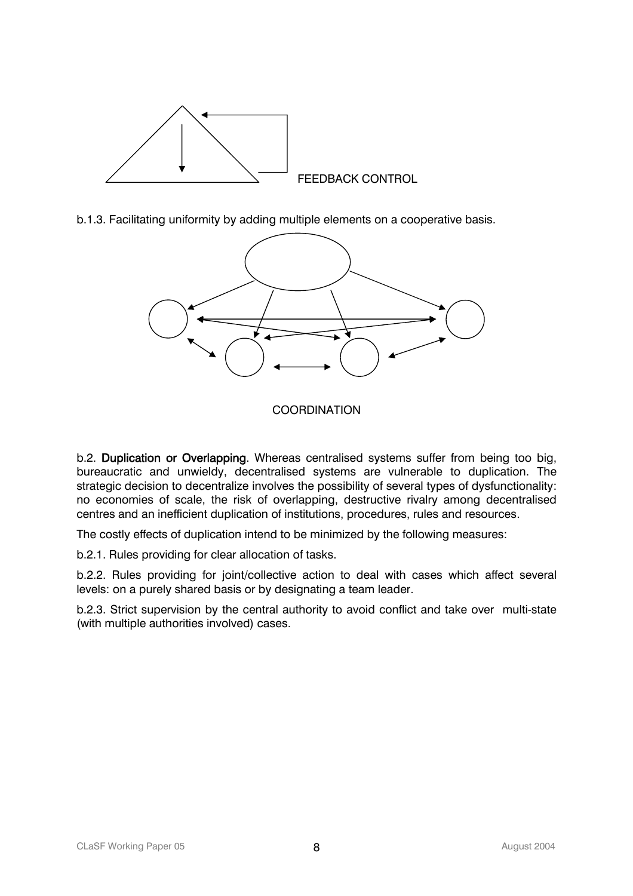

b.1.3. Facilitating uniformity by adding multiple elements on a cooperative basis.



### **COORDINATION**

b.2. Duplication or Overlapping. Whereas centralised systems suffer from being too big, bureaucratic and unwieldy, decentralised systems are vulnerable to duplication. The strategic decision to decentralize involves the possibility of several types of dysfunctionality: no economies of scale, the risk of overlapping, destructive rivalry among decentralised centres and an inefficient duplication of institutions, procedures, rules and resources.

The costly effects of duplication intend to be minimized by the following measures:

b.2.1. Rules providing for clear allocation of tasks.

b.2.2. Rules providing for joint/collective action to deal with cases which affect several levels: on a purely shared basis or by designating a team leader.

b.2.3. Strict supervision by the central authority to avoid conflict and take over multi-state (with multiple authorities involved) cases.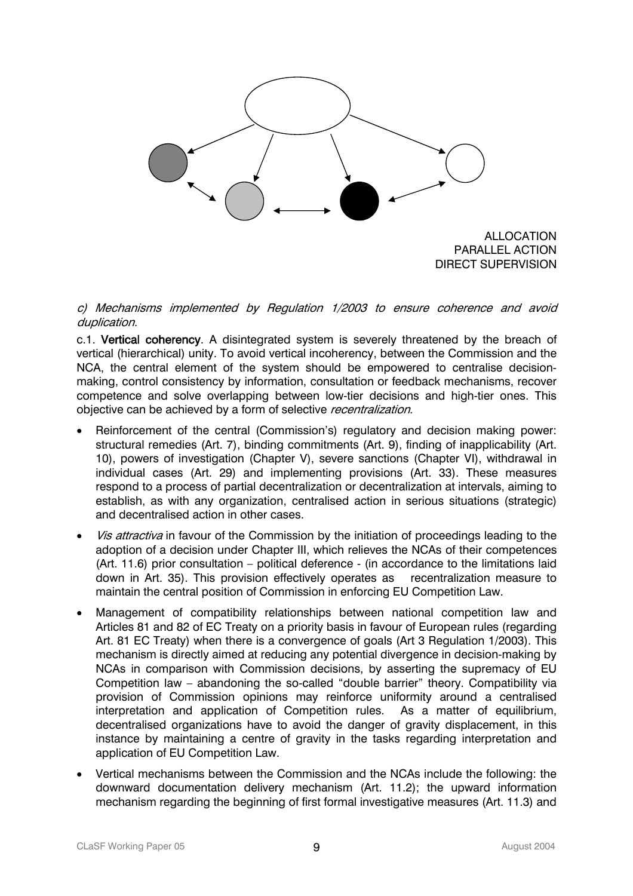

ALLOCATION PARALLEL ACTION DIRECT SUPERVISION

c) Mechanisms implemented by Regulation 1/2003 to ensure coherence and avoid duplication.

c.1. Vertical coherency. A disintegrated system is severely threatened by the breach of vertical (hierarchical) unity. To avoid vertical incoherency, between the Commission and the NCA, the central element of the system should be empowered to centralise decisionmaking, control consistency by information, consultation or feedback mechanisms, recover competence and solve overlapping between low-tier decisions and high-tier ones. This objective can be achieved by a form of selective recentralization.

- Reinforcement of the central (Commission's) regulatory and decision making power: structural remedies (Art. 7), binding commitments (Art. 9), finding of inapplicability (Art. 10), powers of investigation (Chapter V), severe sanctions (Chapter VI), withdrawal in individual cases (Art. 29) and implementing provisions (Art. 33). These measures respond to a process of partial decentralization or decentralization at intervals, aiming to establish, as with any organization, centralised action in serious situations (strategic) and decentralised action in other cases.
- Vis attractiva in favour of the Commission by the initiation of proceedings leading to the adoption of a decision under Chapter III, which relieves the NCAs of their competences (Art. 11.6) prior consultation – political deference - (in accordance to the limitations laid down in Art. 35). This provision effectively operates as recentralization measure to maintain the central position of Commission in enforcing EU Competition Law.
- Management of compatibility relationships between national competition law and Articles 81 and 82 of EC Treaty on a priority basis in favour of European rules (regarding Art. 81 EC Treaty) when there is a convergence of goals (Art 3 Regulation 1/2003). This mechanism is directly aimed at reducing any potential divergence in decision-making by NCAs in comparison with Commission decisions, by asserting the supremacy of EU Competition law – abandoning the so-called "double barrier" theory. Compatibility via provision of Commission opinions may reinforce uniformity around a centralised interpretation and application of Competition rules. As a matter of equilibrium, decentralised organizations have to avoid the danger of gravity displacement, in this instance by maintaining a centre of gravity in the tasks regarding interpretation and application of EU Competition Law.
- Vertical mechanisms between the Commission and the NCAs include the following: the downward documentation delivery mechanism (Art. 11.2); the upward information mechanism regarding the beginning of first formal investigative measures (Art. 11.3) and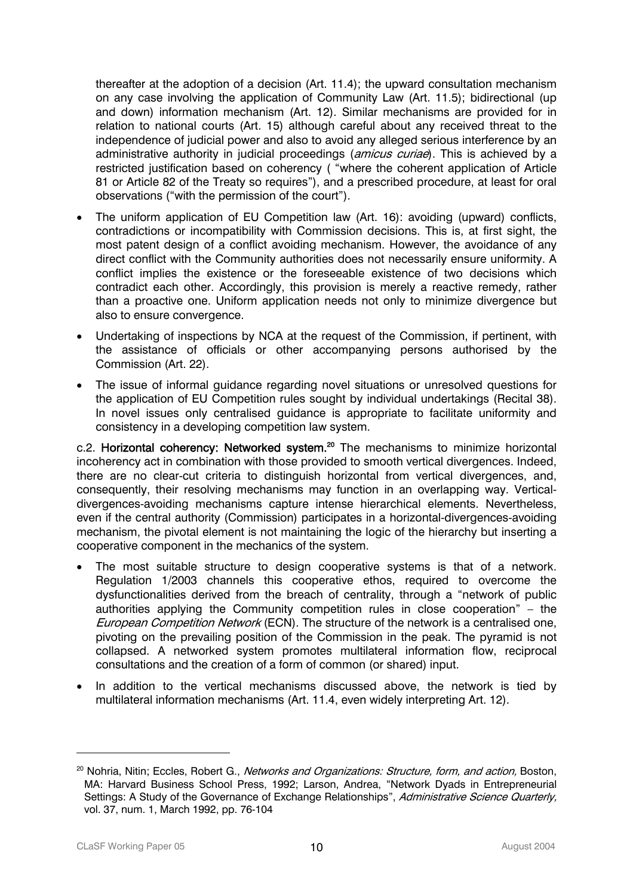thereafter at the adoption of a decision (Art. 11.4); the upward consultation mechanism on any case involving the application of Community Law (Art. 11.5); bidirectional (up and down) information mechanism (Art. 12). Similar mechanisms are provided for in relation to national courts (Art. 15) although careful about any received threat to the independence of judicial power and also to avoid any alleged serious interference by an administrative authority in judicial proceedings (amicus curiae). This is achieved by a restricted justification based on coherency ( "where the coherent application of Article 81 or Article 82 of the Treaty so requires"), and a prescribed procedure, at least for oral observations ("with the permission of the court").

- The uniform application of EU Competition law (Art. 16): avoiding (upward) conflicts, contradictions or incompatibility with Commission decisions. This is, at first sight, the most patent design of a conflict avoiding mechanism. However, the avoidance of any direct conflict with the Community authorities does not necessarily ensure uniformity. A conflict implies the existence or the foreseeable existence of two decisions which contradict each other. Accordingly, this provision is merely a reactive remedy, rather than a proactive one. Uniform application needs not only to minimize divergence but also to ensure convergence.
- Undertaking of inspections by NCA at the request of the Commission, if pertinent, with the assistance of officials or other accompanying persons authorised by the Commission (Art. 22).
- The issue of informal guidance regarding novel situations or unresolved questions for the application of EU Competition rules sought by individual undertakings (Recital 38). In novel issues only centralised guidance is appropriate to facilitate uniformity and consistency in a developing competition law system.

c.2. Horizontal coherency: Networked system.<sup>20</sup> The mechanisms to minimize horizontal incoherency act in combination with those provided to smooth vertical divergences. Indeed, there are no clear-cut criteria to distinguish horizontal from vertical divergences, and, consequently, their resolving mechanisms may function in an overlapping way. Verticaldivergences-avoiding mechanisms capture intense hierarchical elements. Nevertheless, even if the central authority (Commission) participates in a horizontal-divergences-avoiding mechanism, the pivotal element is not maintaining the logic of the hierarchy but inserting a cooperative component in the mechanics of the system.

- The most suitable structure to design cooperative systems is that of a network. Regulation 1/2003 channels this cooperative ethos, required to overcome the dysfunctionalities derived from the breach of centrality, through a "network of public authorities applying the Community competition rules in close cooperation" – the European Competition Network (ECN). The structure of the network is a centralised one, pivoting on the prevailing position of the Commission in the peak. The pyramid is not collapsed. A networked system promotes multilateral information flow, reciprocal consultations and the creation of a form of common (or shared) input.
- In addition to the vertical mechanisms discussed above, the network is tied by multilateral information mechanisms (Art. 11.4, even widely interpreting Art. 12).

<span id="page-9-0"></span><sup>&</sup>lt;sup>20</sup> Nohria, Nitin; Eccles, Robert G., Networks and Organizations: Structure, form, and action, Boston, MA: Harvard Business School Press, 1992; Larson, Andrea, "Network Dyads in Entrepreneurial Settings: A Study of the Governance of Exchange Relationships", Administrative Science Quarterly, vol. 37, num. 1, March 1992, pp. 76-104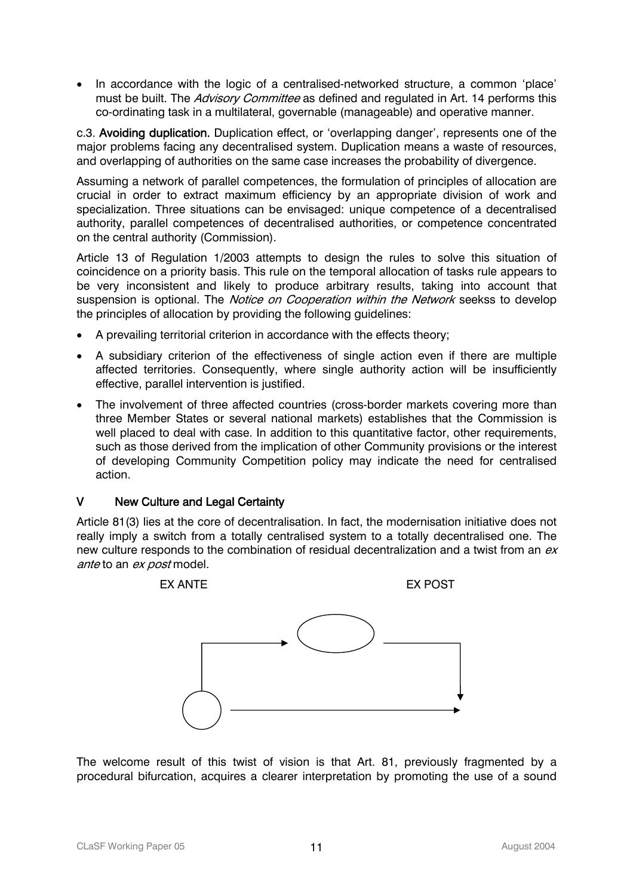• In accordance with the logic of a centralised-networked structure, a common 'place' must be built. The *Advisory Committee* as defined and regulated in Art. 14 performs this co-ordinating task in a multilateral, governable (manageable) and operative manner.

c.3. Avoiding duplication. Duplication effect, or 'overlapping danger', represents one of the major problems facing any decentralised system. Duplication means a waste of resources, and overlapping of authorities on the same case increases the probability of divergence.

Assuming a network of parallel competences, the formulation of principles of allocation are crucial in order to extract maximum efficiency by an appropriate division of work and specialization. Three situations can be envisaged: unique competence of a decentralised authority, parallel competences of decentralised authorities, or competence concentrated on the central authority (Commission).

Article 13 of Regulation 1/2003 attempts to design the rules to solve this situation of coincidence on a priority basis. This rule on the temporal allocation of tasks rule appears to be very inconsistent and likely to produce arbitrary results, taking into account that suspension is optional. The *Notice on Cooperation within the Network* seekss to develop the principles of allocation by providing the following guidelines:

- A prevailing territorial criterion in accordance with the effects theory;
- A subsidiary criterion of the effectiveness of single action even if there are multiple affected territories. Consequently, where single authority action will be insufficiently effective, parallel intervention is justified.
- The involvement of three affected countries (cross-border markets covering more than three Member States or several national markets) establishes that the Commission is well placed to deal with case. In addition to this quantitative factor, other requirements, such as those derived from the implication of other Community provisions or the interest of developing Community Competition policy may indicate the need for centralised action.

#### V New Culture and Legal Certainty

Article 81(3) lies at the core of decentralisation. In fact, the modernisation initiative does not really imply a switch from a totally centralised system to a totally decentralised one. The new culture responds to the combination of residual decentralization and a twist from an ex ante to an ex post model.



The welcome result of this twist of vision is that Art. 81, previously fragmented by a procedural bifurcation, acquires a clearer interpretation by promoting the use of a sound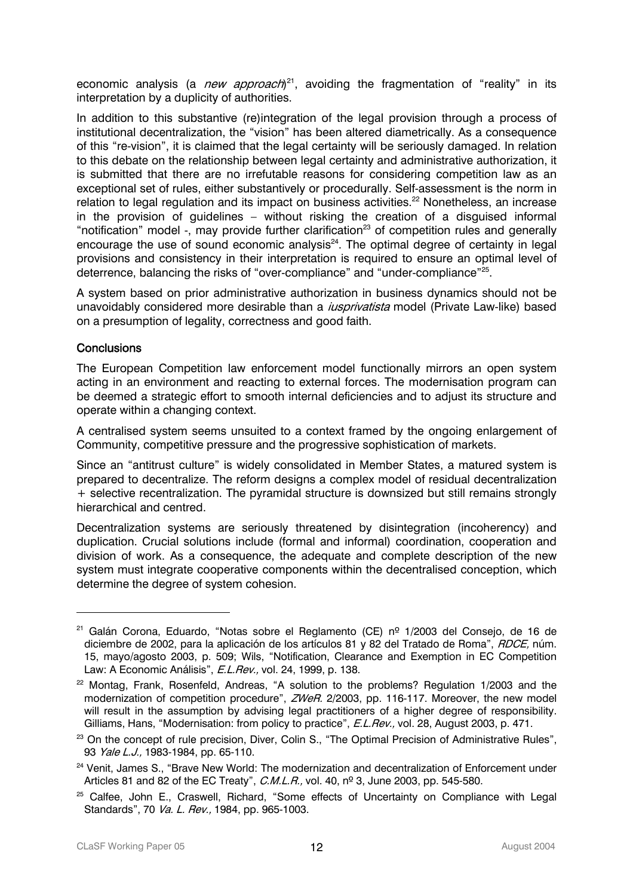economic analysis (a *new approach*)<sup>21</sup>, avoiding the fragmentation of "reality" in its interpretation by a duplicity of authorities.

In addition to this substantive (re)integration of the legal provision through a process of institutional decentralization, the "vision" has been altered diametrically. As a consequence of this "re-vision", it is claimed that the legal certainty will be seriously damaged. In relation to this debate on the relationship between legal certainty and administrative authorization, it is submitted that there are no irrefutable reasons for considering competition law as an exceptional set of rules, either substantively or procedurally. Self-assessment is the norm in relation to legal regulation and its impact on business activities.<sup>22</sup> Nonetheless, an increase in the provision of guidelines – without risking the creation of a disguised informal "notification" model -, may provide further clarification<sup>23</sup> of competition rules and generally encourage the use of sound economic analysis<sup>24</sup>. The optimal degree of certainty in legal provisions and consistency in their interpretation is required to ensure an optimal level of deterrence, balancing the risks of "over-compliance" and "under-compliance"[25.](#page-11-4)

A system based on prior administrative authorization in business dynamics should not be unavoidably considered more desirable than a *iusprivatista* model (Private Law-like) based on a presumption of legality, correctness and good faith.

#### **Conclusions**

 $\overline{a}$ 

The European Competition law enforcement model functionally mirrors an open system acting in an environment and reacting to external forces. The modernisation program can be deemed a strategic effort to smooth internal deficiencies and to adjust its structure and operate within a changing context.

A centralised system seems unsuited to a context framed by the ongoing enlargement of Community, competitive pressure and the progressive sophistication of markets.

Since an "antitrust culture" is widely consolidated in Member States, a matured system is prepared to decentralize. The reform designs a complex model of residual decentralization + selective recentralization. The pyramidal structure is downsized but still remains strongly hierarchical and centred.

Decentralization systems are seriously threatened by disintegration (incoherency) and duplication. Crucial solutions include (formal and informal) coordination, cooperation and division of work. As a consequence, the adequate and complete description of the new system must integrate cooperative components within the decentralised conception, which determine the degree of system cohesion.

<span id="page-11-0"></span><sup>21</sup> Galán Corona, Eduardo, "Notas sobre el Reglamento (CE) nº 1/2003 del Consejo, de 16 de diciembre de 2002, para la aplicación de los artículos 81 y 82 del Tratado de Roma", RDCE, núm. 15, mayo/agosto 2003, p. 509; Wils, "Notification, Clearance and Exemption in EC Competition Law: A Economic Análisis", *E.L.Rev.*, vol. 24, 1999, p. 138.

<span id="page-11-1"></span><sup>&</sup>lt;sup>22</sup> Montag, Frank, Rosenfeld, Andreas, "A solution to the problems? Regulation 1/2003 and the modernization of competition procedure", ZWeR. 2/2003, pp. 116-117. Moreover, the new model will result in the assumption by advising legal practitioners of a higher degree of responsibility. Gilliams, Hans, "Modernisation: from policy to practice", E.L.Rev., vol. 28, August 2003, p. 471.

<span id="page-11-2"></span><sup>&</sup>lt;sup>23</sup> On the concept of rule precision, Diver, Colin S., "The Optimal Precision of Administrative Rules", 93 *Yale L.J.*, 1983-1984, pp. 65-110.

<span id="page-11-3"></span>Articles 81 and 82 of the EC Treaty", *C.M.L.R.,* vol. 40, nº 3, June 2003, pp. 545-580. <sup>24</sup> Venit, James S., "Brave New World: The modernization and decentralization of Enforcement under

<span id="page-11-4"></span><sup>&</sup>lt;sup>25</sup> Calfee, John E., Craswell, Richard, "Some effects of Uncertainty on Compliance with Legal Standards", 70 Va. L. Rev., 1984, pp. 965-1003.